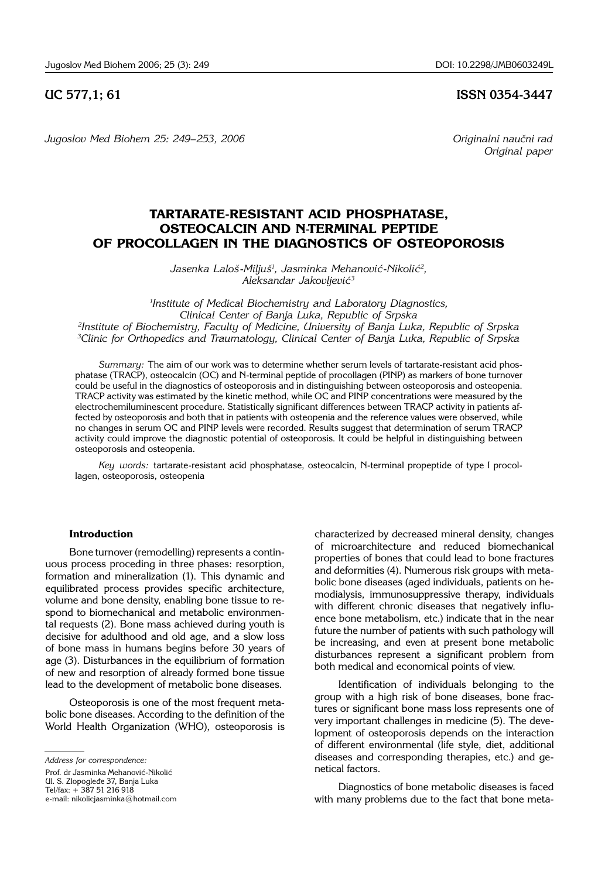### **UC 577,1; 61 ISSN 0354-3447**

*Jugoslov Med Biohem 25: 249–253, 2006 Club Constanting Criginalni naučni rad* 

 *Original paper*

# **TARTARATE-RESISTANT ACID PHOSPHATASE, OSTEOCALCIN AND N**-**TERMINAL PEPTIDE OF PROCOLLAGEN IN THE DIAGNOSTICS OF OSTEOPOROSIS**

Jasenka Laloš-Miljuš<sup>1</sup>, Jasminka Mehanović-Nikolić<sup>2</sup>, *Aleksandar Jakovljevi}3*

 *Institute of Medical Biochemistry and Laboratory Diagnostics, Clinical Center of Banja Luka, Republic of Srpska Institute of Biochemistry, Faculty of Medicine, University of Banja Luka, Republic of Srpska Clinic for Orthopedics and Traumatology, Clinical Center of Banja Luka, Republic of Srpska*

*Summary:* The aim of our work was to determine whether serum levels of tartarate-resistant acid phosphatase (TRACP), osteocalcin (OC) and N-terminal peptide of procollagen (PINP) as markers of bone turnover could be useful in the diagnostics of osteoporosis and in distinguishing between osteoporosis and osteopenia. TRACP activity was estimated by the kinetic method, while OC and PINP concentrations were measured by the electrochemiluminescent procedure. Statistically significant differences between TRACP activity in patients affected by osteoporosis and both that in patients with osteopenia and the reference values were observed, while no changes in serum OC and PINP levels were recorded. Results suggest that determination of serum TRACP activity could improve the diagnostic potential of osteoporosis. It could be helpful in distinguishing between osteoporosis and osteopenia.

Key words: tartarate-resistant acid phosphatase, osteocalcin, N-terminal propeptide of type I procollagen, osteoporosis, osteopenia

#### **Introduction**

Bone turnover (remodelling) represents a continuous process proceding in three phases: resorption, formation and mineralization (1). This dynamic and equilibrated process provides specific architecture, volume and bone density, enabling bone tissue to respond to biomechanical and metabolic environmental requests (2). Bone mass achieved during youth is decisive for adulthood and old age, and a slow loss of bone mass in humans begins before 30 years of age (3). Disturbances in the equilibrium of formation of new and resorption of already formed bone tissue lead to the development of metabolic bone diseases.

Osteoporosis is one of the most frequent metabolic bone diseases. According to the definition of the World Health Organization (WHO), osteoporosis is

Prof. dr Jasminka Mehanović-Nikolić Ul. S. Zlopogleđe 37, Banja Luka Tel/fax: + 387 51 216 918 e-mail: nikolicjasminka@hotmail.com characterized by decreased mineral density, changes of microarchitecture and reduced biomechanical properties of bones that could lead to bone fractures and deformities (4). Numerous risk groups with metabolic bone diseases (aged individuals, patients on hemodialysis, immunosuppressive therapy, individuals with different chronic diseases that negatively influence bone metabolism, etc.) indicate that in the near future the number of patients with such pathology will be increasing, and even at present bone metabolic disturbances represent a significant problem from both medical and economical points of view.

Identification of individuals belonging to the group with a high risk of bone diseases, bone fractures or significant bone mass loss represents one of very important challenges in medicine (5). The development of osteoporosis depends on the interaction of different environmental (life style, diet, additional diseases and corresponding therapies, etc.) and genetical factors.

Diagnostics of bone metabolic diseases is faced with many problems due to the fact that bone meta-

*Address for correspondence:*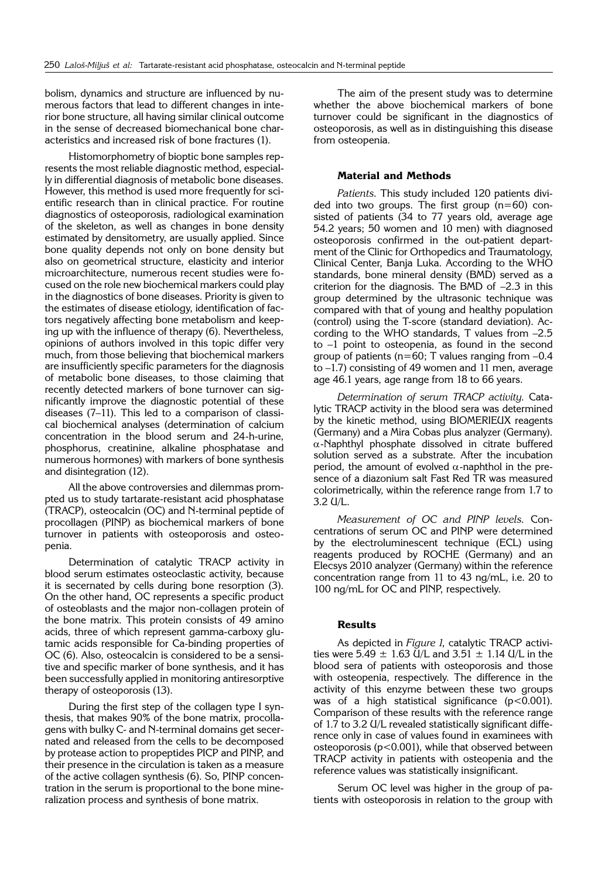bolism, dynamics and structure are influenced by numerous factors that lead to different changes in interior bone structure, all having similar clinical outcome in the sense of decreased biomechanical bone characteristics and increased risk of bone fractures (1).

Histomorphometry of bioptic bone samples represents the most reliable diagnostic method, especially in differential diagnosis of metabolic bone diseases. However, this method is used more frequently for scientific research than in clinical practice. For routine diagnostics of osteoporosis, radiological examination of the skeleton, as well as changes in bone density estimated by densitometry, are usually applied. Since bone quality depends not only on bone density but also on geometrical structure, elasticity and interior microarchitecture, numerous recent studies were focused on the role new biochemical markers could play in the diagnostics of bone diseases. Priority is given to the estimates of disease etiology, identification of factors negatively affecting bone metabolism and keeping up with the influence of therapy (6). Nevertheless, opinions of authors involved in this topic differ very much, from those believing that biochemical markers are insufficiently specific parameters for the diagnosis of metabolic bone diseases, to those claiming that recently detected markers of bone turnover can significantly improve the diagnostic potential of these diseases  $(7-11)$ . This led to a comparison of classical biochemical analyses (determination of calcium concentration in the blood serum and 24-h-urine, phosphorus, creatinine, alkaline phosphatase and numerous hormones) with markers of bone synthesis and disintegration (12).

All the above controversies and dilemmas prompted us to study tartarate-resistant acid phosphatase (TRACP), osteocalcin (OC) and N-terminal peptide of procollagen (PINP) as biochemical markers of bone turnover in patients with osteoporosis and osteopenia.

Determination of catalytic TRACP activity in blood serum estimates osteoclastic activity, because it is secernated by cells during bone resorption (3). On the other hand, OC represents a specific product of osteoblasts and the major non-collagen protein of the bone matrix. This protein consists of 49 amino acids, three of which represent gamma-carboxy glutamic acids responsible for Ca-binding properties of OC (6). Also, osteocalcin is considered to be a sensitive and specific marker of bone synthesis, and it has been successfully applied in monitoring antiresorptive therapy of osteoporosis (13).

During the first step of the collagen type I synthesis, that makes 90% of the bone matrix, procollagens with bulky C- and N-terminal domains get secernated and released from the cells to be decomposed by protease action to propeptides PICP and PINP, and their presence in the circulation is taken as a measure of the active collagen synthesis (6). So, PINP concentration in the serum is proportional to the bone mineralization process and synthesis of bone matrix.

The aim of the present study was to determine whether the above biochemical markers of bone turnover could be significant in the diagnostics of osteoporosis, as well as in distinguishing this disease from osteopenia.

#### **Material and Methods**

Patients. This study included 120 patients divided into two groups. The first group  $(n=60)$  consisted of patients (34 to 77 years old, average age 54.2 years; 50 women and 10 men) with diagnosed osteoporosis confirmed in the out-patient department of the Clinic for Orthopedics and Traumatology, Clinical Center, Banja Luka. According to the WHO standards, bone mineral density (BMD) served as a criterion for the diagnosis. The BMD of  $-2.3$  in this group determined by the ultrasonic technique was compared with that of young and healthy population (control) using the T-score (standard deviation). According to the WHO standards, T values from  $-2.5$ to  $-1$  point to osteopenia, as found in the second group of patients ( $n=60$ ; T values ranging from  $-0.4$ to  $-1.7$ ) consisting of 49 women and 11 men, average age 46.1 years, age range from 18 to 66 years.

Determination of serum TRACP activity. Catalytic TRACP activity in the blood sera was determined by the kinetic method, using BIOMERIEUX reagents (Germany) and a Mira Cobas plus analyzer (Germany).  $\alpha$ -Naphthyl phosphate dissolved in citrate buffered solution served as a substrate. After the incubation period, the amount of evolved  $\alpha$ -naphthol in the presence of a diazonium salt Fast Red TR was measured colorimetrically, within the reference range from 1.7 to  $3.2$   $U/L$ .

Measurement of OC and PINP levels. Concentrations of serum OC and PINP were determined by the electroluminescent technique (ECL) using reagents produced by ROCHE (Germany) and an Elecsys 2010 analyzer (Germany) within the reference concentration range from 11 to 43 ng/mL, i.e. 20 to 100 ng/mL for OC and PINP, respectively.

## **Results**

As depicted in Figure 1, catalytic TRACP activities were 5.49  $\pm$  1.63 U/L and 3.51  $\pm$  1.14 U/L in the blood sera of patients with osteoporosis and those with osteopenia, respectively. The difference in the activity of this enzyme between these two groups was of a high statistical significance  $(p<0.001)$ . Comparison of these results with the reference range of 1.7 to 3.2 U/L revealed statistically significant difference only in case of values found in examinees with osteoporosis (p<0.001), while that observed between TRACP activity in patients with osteopenia and the reference values was statistically insignificant.

Serum OC level was higher in the group of patients with osteoporosis in relation to the group with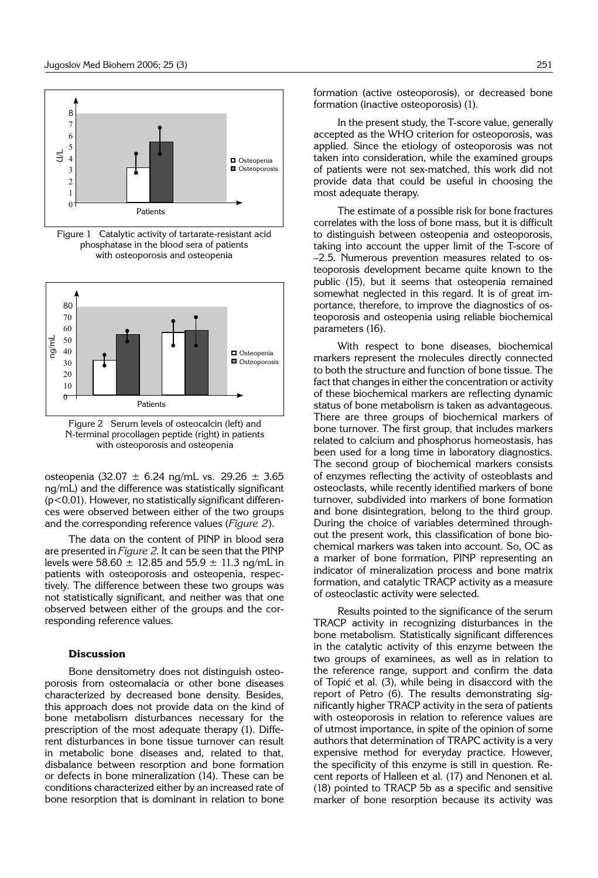

Figure 1 Catalytic activity of tartarate-resistant acid phosphatase in the blood sera of patients with osteoporosis and osteopenia



Figure 2 Serum levels of osteocalcin (left) and N-terminal procollagen peptide (right) in patients with osteoporosis and osteopenia

osteopenia (32.07 ± 6.24 ng/mL vs*.* 29.26 ± 3.65 ng/mL) and the difference was statistically significant  $(p<0.01)$ . However, no statistically significant differences were observed between either of the two groups and the corresponding reference values (*Figure 2*).

The data on the content of PINP in blood sera are presented in *Figure 2*. It can be seen that the PINP levels were 58.60  $\pm$  12.85 and 55.9  $\pm$  11.3 ng/mL in patients with osteoporosis and osteopenia, respectively. The difference between these two groups was not statistically significant, and neither was that one observed between either of the groups and the corresponding reference values.

#### **Discussion**

Bone densitometry does not distinguish osteoporosis from osteomalacia or other bone diseases characterized by decreased bone density. Besides, this approach does not provide data on the kind of bone metabolism disturbances necessary for the prescription of the most adequate therapy (1). Different disturbances in bone tissue turnover can result in metabolic bone diseases and, related to that, disbalance between resorption and bone formation or defects in bone mineralization (14). These can be conditions characterized either by an increased rate of bone resorption that is dominant in relation to bone

formation (active osteoporosis), or decreased bone formation (inactive osteoporosis) (1).

In the present study, the T-score value, generally accepted as the WHO criterion for osteoporosis, was applied. Since the etiology of osteoporosis was not taken into consideration, while the examined groups of patients were not sex-matched, this work did not provide data that could be useful in choosing the most adequate therapy.

The estimate of a possible risk for bone fractures correlates with the loss of bone mass, but it is difficult to distinguish between osteopenia and osteoporosis, taking into account the upper limit of the T-score of -2.5. Numerous prevention measures related to osteoporosis development became quite known to the public (15), but it seems that osteopenia remained somewhat neglected in this regard. It is of great importance, therefore, to improve the diagnostics of osteoporosis and osteopenia using reliable biochemical parameters (16).

With respect to bone diseases, biochemical markers represent the molecules directly connected to both the structure and function of bone tissue. The fact that changes in either the concentration or activity of these biochemical markers are reflecting dynamic status of bone metabolism is taken as advantageous. There are three groups of biochemical markers of bone turnover. The first group, that includes markers related to calcium and phosphorus homeostasis, has been used for a long time in laboratory diagnostics. The second group of biochemical markers consists of enzymes reflecting the activity of osteoblasts and osteoclasts, while recently identified markers of bone turnover, subdivided into markers of bone formation and bone disintegration, belong to the third group. During the choice of variables determined throughout the present work, this classification of bone biochemical markers was taken into account. So, OC as a marker of bone formation, PINP representing an indicator of mineralization process and bone matrix formation, and catalytic TRACP activity as a measure of osteoclastic activity were selected.

Results pointed to the significance of the serum TRACP activity in recognizing disturbances in the bone metabolism. Statistically significant differences in the catalytic activity of this enzyme between the two groups of examinees, as well as in relation to the reference range, support and confirm the data of Topić et al.  $(3)$ , while being in disaccord with the report of Petro (6). The results demonstrating significantly higher TRACP activity in the sera of patients with osteoporosis in relation to reference values are of utmost importance, in spite of the opinion of some authors that determination of TRAPC activity is a very expensive method for everyday practice. However, the specificity of this enzyme is still in question. Recent reports of Halleen et al. (17) and Nenonen et al. (18) pointed to TRACP 5b as a specific and sensitive marker of bone resorption because its activity was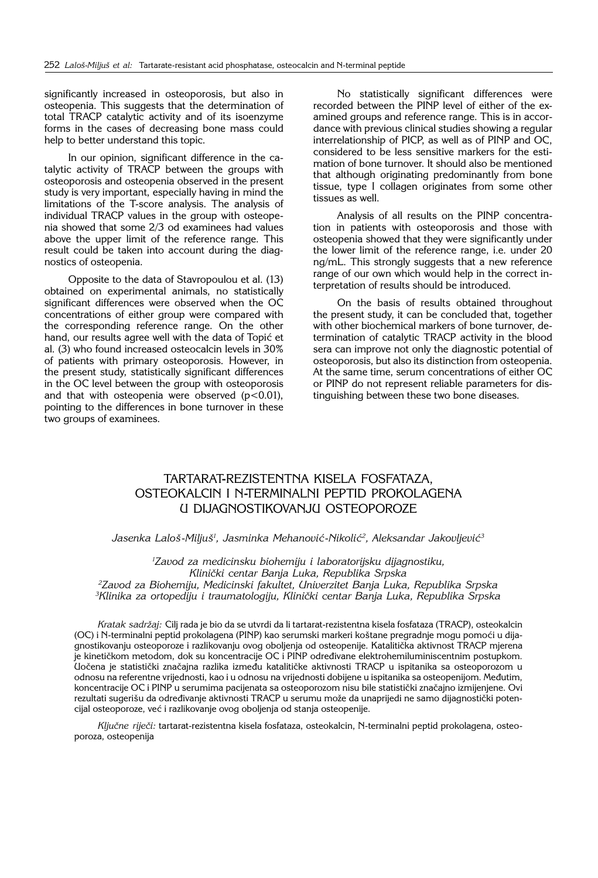significantly increased in osteoporosis, but also in osteopenia. This suggests that the determination of total TRACP catalytic activity and of its isoenzyme forms in the cases of decreasing bone mass could help to better understand this topic.

In our opinion, significant difference in the catalytic activity of TRACP between the groups with osteoporosis and osteopenia observed in the present study is very important, especially having in mind the limitations of the T-score analysis. The analysis of individual TRACP values in the group with osteopenia showed that some 2/3 od examinees had values above the upper limit of the reference range. This result could be taken into account during the diagnostics of osteopenia.

Opposite to the data of Stavropoulou et al. (13) obtained on experimental animals, no statistically significant differences were observed when the OC concentrations of either group were compared with the corresponding reference range. On the other hand, our results agree well with the data of Topić et al. (3) who found increased osteocalcin levels in 30% of patients with primary osteoporosis. However, in the present study, statistically significant differences in the OC level between the group with osteoporosis and that with osteopenia were observed  $(p<0.01)$ , pointing to the differences in bone turnover in these two groups of examinees.

No statistically significant differences were recorded between the PINP level of either of the examined groups and reference range. This is in accordance with previous clinical studies showing a regular interrelationship of PICP, as well as of PINP and OC, considered to be less sensitive markers for the estimation of bone turnover. It should also be mentioned that although originating predominantly from bone tissue, type I collagen originates from some other tissues as well.

Analysis of all results on the PINP concentration in patients with osteoporosis and those with osteopenia showed that they were significantly under the lower limit of the reference range, i.e. under 20 ng/mL. This strongly suggests that a new reference range of our own which would help in the correct interpretation of results should be introduced.

On the basis of results obtained throughout the present study, it can be concluded that, together with other biochemical markers of bone turnover, determination of catalytic TRACP activity in the blood sera can improve not only the diagnostic potential of osteoporosis, but also its distinction from osteopenia. At the same time, serum concentrations of either OC or PINP do not represent reliable parameters for distinguishing between these two bone diseases.

# TARTARAT**-**REZISTENTNA KISELA FOSFATAZA, OSTEOKALCIN I N**-**TERMINALNI PEPTID PROKOLAGENA U DIJAGNOSTIKOVANJU OSTEOPOROZE

Jasenka Laloš-Miljuš<sup>1</sup>, Jasminka Mehanović-Nikolić<sup>2</sup>, Aleksandar Jakovljević<sup>3</sup>

*1 Zavod za medicinsku biohemiju i laboratorijsku dijagnostiku, Klini~ki centar Banja Luka, Republika Srpska 2 Zavod za Biohemiju, Medicinski fakultet, Univerzitet Banja Luka, Republika Srpska* <sup>3</sup>Klinika za ortopediju i traumatologiju, Klinički centar Banja Luka, Republika Srpska

*Kratak sadr`aj:* Cilj rada je bio da se utvrdi da li tartarat-rezistentna kisela fosfataza (TRACP), osteokalcin (OC) i N-terminalni peptid prokolagena (PINP) kao serumski markeri koštane pregradnje mogu pomoći u dijagnostikovanju osteoporoze i razlikovanju ovog oboljenja od osteopenije. Katalitička aktivnost TRACP mjerena je kinetičkom metodom, dok su koncentracije OC i PINP određivane elektrohemiluminiscentnim postupkom. Uočena je statistički značajna razlika između katalitičke aktivnosti TRACP u ispitanika sa osteoporozom u odnosu na referentne vrijednosti, kao i u odnosu na vrijednosti dobijene u ispitanika sa osteopenijom. Međutim, koncentracije OC i PINP u serumima pacijenata sa osteoporozom nisu bile statistički značajno izmijenjene. Ovi rezultati sugerišu da određivanje aktivnosti TRACP u serumu može da unaprijedi ne samo dijagnostički potencijal osteoporoze, već i razlikovanje ovog oboljenja od stanja osteopenije.

*Klju~ne rije~i:* tartarat-rezistentna kisela fosfataza, osteokalcin, N-terminalni peptid prokolagena, osteoporoza, osteopenija